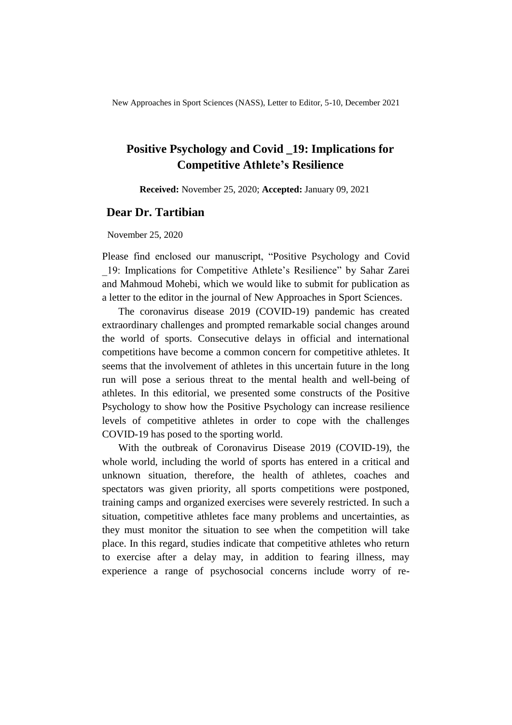New Approaches in Sport Sciences (NASS), Letter to Editor, 5-10, December 2021

# **Positive Psychology and Covid \_19: Implications for Competitive Athlete's Resilience**

**Received:** November 25, 2020; **Accepted:** January 09, 2021

# **Dear Dr. Tartibian**

November 25, 2020

Please find enclosed our manuscript, "Positive Psychology and Covid \_19: Implications for Competitive Athlete's Resilience" by Sahar Zarei and Mahmoud Mohebi, which we would like to submit for publication as a letter to the editor in the journal of New Approaches in Sport Sciences.

The coronavirus disease 2019 (COVID-19) pandemic has created extraordinary challenges and prompted remarkable social changes around the world of sports. Consecutive delays in official and international competitions have become a common concern for competitive athletes. It seems that the involvement of athletes in this uncertain future in the long run will pose a serious threat to the mental health and well-being of athletes. In this editorial, we presented some constructs of the Positive Psychology to show how the Positive Psychology can increase resilience levels of competitive athletes in order to cope with the challenges COVID-19 has posed to the sporting world.

With the outbreak of Coronavirus Disease 2019 (COVID-19), the whole world, including the world of sports has entered in a critical and unknown situation, therefore, the health of athletes, coaches and spectators was given priority, all sports competitions were postponed, training camps and organized exercises were severely restricted. In such a situation, competitive athletes face many problems and uncertainties, as they must monitor the situation to see when the competition will take place. In this regard, studies indicate that competitive athletes who return to exercise after a delay may, in addition to fearing illness, may experience a range of psychosocial concerns include worry of re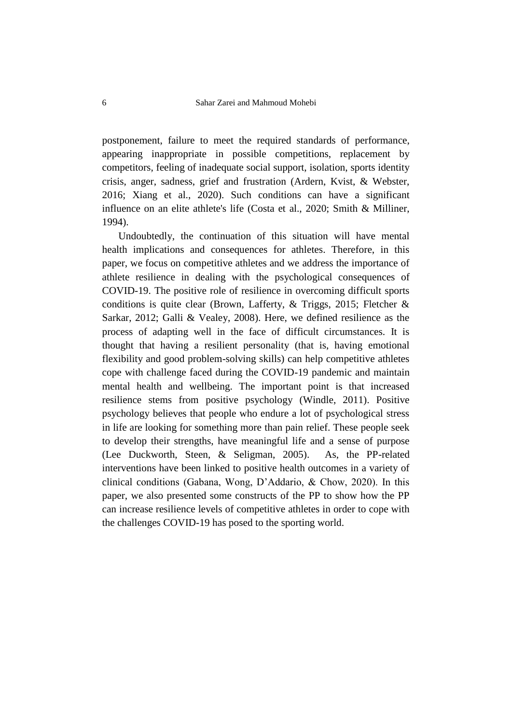postponement, failure to meet the required standards of performance, appearing inappropriate in possible competitions, replacement by competitors, feeling of inadequate social support, isolation, sports identity crisis, anger, sadness, grief and frustration (Ardern, Kvist, & Webster, 2016; Xiang et al., 2020). Such conditions can have a significant influence on an elite athlete's life (Costa et al., 2020; Smith & Milliner, 1994).

Undoubtedly, the continuation of this situation will have mental health implications and consequences for athletes. Therefore, in this paper, we focus on competitive athletes and we address the importance of athlete resilience in dealing with the psychological consequences of COVID-19. The positive role of resilience in overcoming difficult sports conditions is quite clear (Brown, Lafferty, & Triggs, 2015; Fletcher & Sarkar, 2012; Galli & Vealey, 2008). Here, we defined resilience as the process of adapting well in the face of difficult circumstances. It is thought that having a resilient personality (that is, having emotional flexibility and good problem-solving skills) can help competitive athletes cope with challenge faced during the COVID-19 pandemic and maintain mental health and wellbeing. The important point is that increased resilience stems from positive psychology (Windle, 2011). Positive psychology believes that people who endure a lot of psychological stress in life are looking for something more than pain relief. These people seek to develop their strengths, have meaningful life and a sense of purpose (Lee Duckworth, Steen, & Seligman, 2005). As, the PP-related interventions have been linked to positive health outcomes in a variety of clinical conditions (Gabana, Wong, D'Addario, & Chow, 2020). In this paper, we also presented some constructs of the PP to show how the PP can increase resilience levels of competitive athletes in order to cope with the challenges COVID-19 has posed to the sporting world.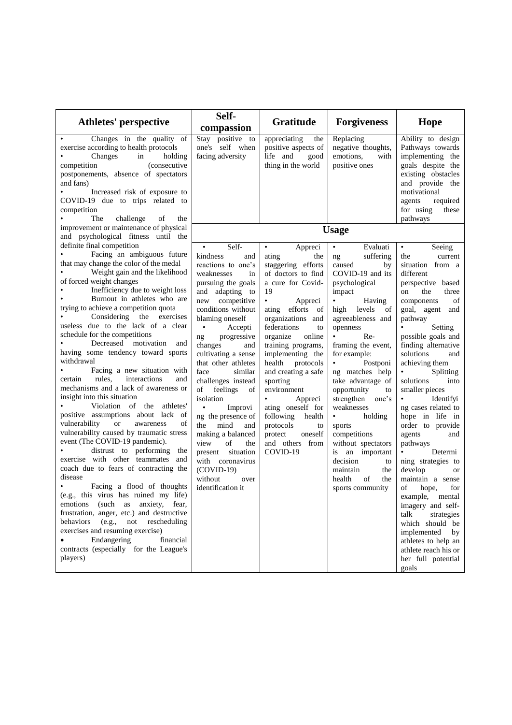| Athletes' perspective                                                                                                                                                                                                                                                                                                                                                                                                                                                                                                                                                                                                                                                                                                                                                                                                                                                                                                                                                                                                                                                                                                                                                                                                                                                              | Self-<br>compassion                                                                                                                                                                                                                                                                                                                                                                                                                                                                                                                                                                         | Gratitude                                                                                                                                                                                                                                                                                                                                                                                                                                                                           | <b>Forgiveness</b>                                                                                                                                                                                                                                                                                                                                                                                                                                                                                                            | Hope                                                                                                                                                                                                                                                                                                                                                                                                                                                                                                                                                                                                                                                                                                                                                                          |
|------------------------------------------------------------------------------------------------------------------------------------------------------------------------------------------------------------------------------------------------------------------------------------------------------------------------------------------------------------------------------------------------------------------------------------------------------------------------------------------------------------------------------------------------------------------------------------------------------------------------------------------------------------------------------------------------------------------------------------------------------------------------------------------------------------------------------------------------------------------------------------------------------------------------------------------------------------------------------------------------------------------------------------------------------------------------------------------------------------------------------------------------------------------------------------------------------------------------------------------------------------------------------------|---------------------------------------------------------------------------------------------------------------------------------------------------------------------------------------------------------------------------------------------------------------------------------------------------------------------------------------------------------------------------------------------------------------------------------------------------------------------------------------------------------------------------------------------------------------------------------------------|-------------------------------------------------------------------------------------------------------------------------------------------------------------------------------------------------------------------------------------------------------------------------------------------------------------------------------------------------------------------------------------------------------------------------------------------------------------------------------------|-------------------------------------------------------------------------------------------------------------------------------------------------------------------------------------------------------------------------------------------------------------------------------------------------------------------------------------------------------------------------------------------------------------------------------------------------------------------------------------------------------------------------------|-------------------------------------------------------------------------------------------------------------------------------------------------------------------------------------------------------------------------------------------------------------------------------------------------------------------------------------------------------------------------------------------------------------------------------------------------------------------------------------------------------------------------------------------------------------------------------------------------------------------------------------------------------------------------------------------------------------------------------------------------------------------------------|
| Changes in the quality of<br>exercise according to health protocols<br>Changes<br>in<br>holding<br>(consecutive<br>competition<br>postponements, absence of spectators<br>and fans)<br>Increased risk of exposure to<br>COVID-19 due to trips related to<br>competition<br>The<br>challenge<br>of<br>the                                                                                                                                                                                                                                                                                                                                                                                                                                                                                                                                                                                                                                                                                                                                                                                                                                                                                                                                                                           | Stay positive to<br>one's self when<br>facing adversity                                                                                                                                                                                                                                                                                                                                                                                                                                                                                                                                     | appreciating<br>the<br>positive aspects of<br>life and<br>good<br>thing in the world                                                                                                                                                                                                                                                                                                                                                                                                | Replacing<br>negative thoughts,<br>emotions,<br>with<br>positive ones                                                                                                                                                                                                                                                                                                                                                                                                                                                         | Ability to design<br>Pathways towards<br>implementing the<br>goals despite the<br>existing obstacles<br>and provide the<br>motivational<br>agents<br>required<br>for using<br>these<br>pathways                                                                                                                                                                                                                                                                                                                                                                                                                                                                                                                                                                               |
| improvement or maintenance of physical<br>and psychological fitness until the                                                                                                                                                                                                                                                                                                                                                                                                                                                                                                                                                                                                                                                                                                                                                                                                                                                                                                                                                                                                                                                                                                                                                                                                      |                                                                                                                                                                                                                                                                                                                                                                                                                                                                                                                                                                                             |                                                                                                                                                                                                                                                                                                                                                                                                                                                                                     | <b>Usage</b>                                                                                                                                                                                                                                                                                                                                                                                                                                                                                                                  |                                                                                                                                                                                                                                                                                                                                                                                                                                                                                                                                                                                                                                                                                                                                                                               |
| definite final competition<br>Facing an ambiguous future<br>that may change the color of the medal<br>Weight gain and the likelihood<br>of forced weight changes<br>Inefficiency due to weight loss<br>Burnout in athletes who are<br>trying to achieve a competition quota<br>Considering the exercises<br>useless due to the lack of a clear<br>schedule for the competitions<br>Decreased motivation<br>and<br>having some tendency toward sports<br>withdrawal<br>Facing a new situation with<br>rules.<br>interactions<br>and<br>certain<br>mechanisms and a lack of awareness or<br>insight into this situation<br>Violation of the athletes'<br>positive assumptions about lack of<br><sub>or</sub><br>vulnerability<br>of<br>awareness<br>vulnerability caused by traumatic stress<br>event (The COVID-19 pandemic).<br>distrust to performing<br>the<br>exercise with other teammates and<br>coach due to fears of contracting the<br>disease<br>Facing a flood of thoughts<br>(e.g., this virus has ruined my life)<br>emotions (such as anxiety, fear,<br>frustration, anger, etc.) and destructive<br>behaviors<br>(e.g.,<br>not<br>rescheduling<br>exercises and resuming exercise)<br>Endangering<br>financial<br>contracts (especially for the League's<br>players) | $\bullet$<br>Self-<br>kindness<br>and<br>reactions to one's<br>weaknesses<br>in<br>pursuing the goals<br>and adapting to<br>new competitive<br>conditions without<br>blaming oneself<br>$\bullet$<br>Accepti<br>progressive<br>ng<br>changes<br>and<br>cultivating a sense<br>that other athletes<br>similar<br>face<br>challenges instead<br>of feelings of<br>isolation<br>$\bullet$<br>Improvi<br>ng the presence of<br>mind<br>the<br>and<br>making a balanced<br>view<br>of<br>the<br>situation<br>present<br>with coronavirus<br>$(COVID-19)$<br>without<br>over<br>identification it | $\bullet$<br>Appreci<br>ating<br>the<br>staggering efforts<br>of doctors to find<br>a cure for Covid-<br>19<br>$\bullet$<br>Appreci<br>ating efforts of<br>organizations and<br>federations<br>to<br>organize<br>online<br>training programs,<br>implementing the<br>health<br>protocols<br>and creating a safe<br>sporting<br>environment<br>Appreci<br>$\bullet$<br>ating oneself for<br>following health<br>protocols<br>to<br>oneself<br>protect<br>and others from<br>COVID-19 | $\bullet$ .<br>Evaluati<br>suffering<br>ng<br>caused<br>by<br>COVID-19 and its<br>psychological<br>impact<br>$\bullet$<br>Having<br>high levels<br>of<br>agreeableness and<br>openness<br>$Re-$<br>framing the event,<br>for example:<br>$\bullet$<br>Postponi<br>ng matches help<br>take advantage of<br>opportunity<br>to<br>strengthen one's<br>weaknesses<br>• holding<br>sports<br>competitions<br>without spectators<br>is an important<br>decision<br>to<br>maintain<br>the<br>the<br>health<br>of<br>sports community | Seeing<br>$\bullet$ . $\bullet$<br>the<br>current<br>situation from a<br>different<br>perspective based<br>on<br>the<br>three<br>components<br>of<br>goal, agent and<br>pathway<br>Setting<br>possible goals and<br>finding alternative<br>solutions<br>and<br>achieving them<br>Splitting<br>solutions<br>into<br>smaller pieces<br>Identifyi<br>$\bullet$<br>ng cases related to<br>hope in life in<br>order to provide<br>agents<br>and<br>pathways<br>$\bullet$ . The set of $\bullet$<br>Determi<br>ning strategies to<br>develop<br>or<br>maintain a sense<br>of<br>hope,<br>for<br>example,<br>mental<br>imagery and self-<br>talk<br>strategies<br>which should be<br>implemented<br>by<br>athletes to help an<br>athlete reach his or<br>her full potential<br>goals |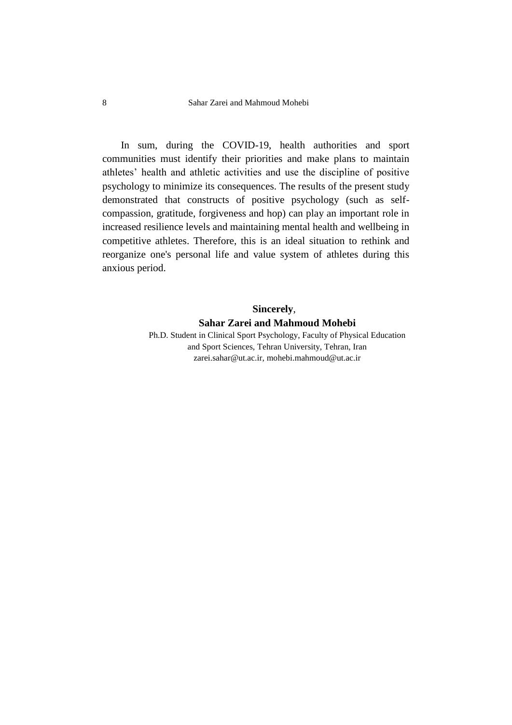In sum, during the COVID-19, health authorities and sport communities must identify their priorities and make plans to maintain athletes' health and athletic activities and use the discipline of positive psychology to minimize its consequences. The results of the present study demonstrated that constructs of positive psychology (such as selfcompassion, gratitude, forgiveness and hop) can play an important role in increased resilience levels and maintaining mental health and wellbeing in competitive athletes. Therefore, this is an ideal situation to rethink and reorganize one's personal life and value system of athletes during this anxious period.

#### **Sincerely**,

### **Sahar Zarei and Mahmoud Mohebi**

Ph.D. Student in Clinical Sport Psychology, Faculty of Physical Education and Sport Sciences, Tehran University, Tehran, Iran zarei.sahar@ut.ac.ir, mohebi.mahmoud@ut.ac.ir